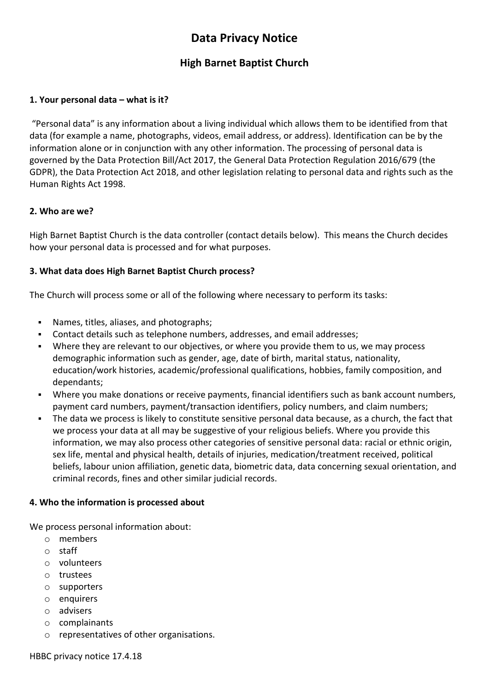# **Data Privacy Notice**

## **High Barnet Baptist Church**

## **1. Your personal data – what is it?**

"Personal data" is any information about a living individual which allows them to be identified from that data (for example a name, photographs, videos, email address, or address). Identification can be by the information alone or in conjunction with any other information. The processing of personal data is governed by the Data Protection Bill/Act 2017, the General Data Protection Regulation 2016/679 (the GDPR), the Data Protection Act 2018, and other legislation relating to personal data and rights such as the Human Rights Act 1998.

### **2. Who are we?**

High Barnet Baptist Church is the data controller (contact details below). This means the Church decides how your personal data is processed and for what purposes.

## **3. What data does High Barnet Baptist Church process?**

The Church will process some or all of the following where necessary to perform its tasks:

- Names, titles, aliases, and photographs;
- Contact details such as telephone numbers, addresses, and email addresses;
- Where they are relevant to our objectives, or where you provide them to us, we may process demographic information such as gender, age, date of birth, marital status, nationality, education/work histories, academic/professional qualifications, hobbies, family composition, and dependants;
- Where you make donations or receive payments, financial identifiers such as bank account numbers, payment card numbers, payment/transaction identifiers, policy numbers, and claim numbers;
- The data we process is likely to constitute sensitive personal data because, as a church, the fact that we process your data at all may be suggestive of your religious beliefs. Where you provide this information, we may also process other categories of sensitive personal data: racial or ethnic origin, sex life, mental and physical health, details of injuries, medication/treatment received, political beliefs, labour union affiliation, genetic data, biometric data, data concerning sexual orientation, and criminal records, fines and other similar judicial records.

#### **4. Who the information is processed about**

We process personal information about:

- o members
- o staff
- o volunteers
- o trustees
- o supporters
- $\circ$  enquirers
- o advisers
- o complainants
- o representatives of other organisations.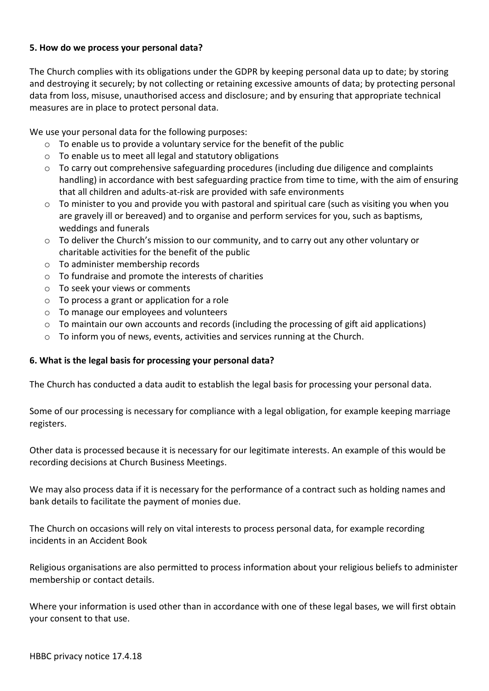## **5. How do we process your personal data?**

The Church complies with its obligations under the GDPR by keeping personal data up to date; by storing and destroying it securely; by not collecting or retaining excessive amounts of data; by protecting personal data from loss, misuse, unauthorised access and disclosure; and by ensuring that appropriate technical measures are in place to protect personal data.

We use your personal data for the following purposes:

- o To enable us to provide a voluntary service for the benefit of the public
- o To enable us to meet all legal and statutory obligations
- $\circ$  To carry out comprehensive safeguarding procedures (including due diligence and complaints handling) in accordance with best safeguarding practice from time to time, with the aim of ensuring that all children and adults-at-risk are provided with safe environments
- $\circ$  To minister to you and provide you with pastoral and spiritual care (such as visiting you when you are gravely ill or bereaved) and to organise and perform services for you, such as baptisms, weddings and funerals
- o To deliver the Church's mission to our community, and to carry out any other voluntary or charitable activities for the benefit of the public
- o To administer membership records
- o To fundraise and promote the interests of charities
- o To seek your views or comments
- o To process a grant or application for a role
- o To manage our employees and volunteers
- $\circ$  To maintain our own accounts and records (including the processing of gift aid applications)
- o To inform you of news, events, activities and services running at the Church.

#### **6. What is the legal basis for processing your personal data?**

The Church has conducted a data audit to establish the legal basis for processing your personal data.

Some of our processing is necessary for compliance with a legal obligation, for example keeping marriage registers.

Other data is processed because it is necessary for our legitimate interests. An example of this would be recording decisions at Church Business Meetings.

We may also process data if it is necessary for the performance of a contract such as holding names and bank details to facilitate the payment of monies due.

The Church on occasions will rely on vital interests to process personal data, for example recording incidents in an Accident Book

Religious organisations are also permitted to process information about your religious beliefs to administer membership or contact details.

Where your information is used other than in accordance with one of these legal bases, we will first obtain your consent to that use.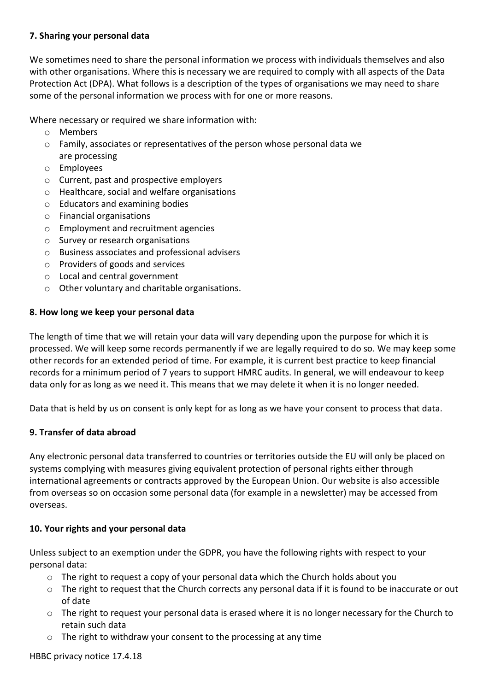## **7. Sharing your personal data**

We sometimes need to share the personal information we process with individuals themselves and also with other organisations. Where this is necessary we are required to comply with all aspects of the Data Protection Act (DPA). What follows is a description of the types of organisations we may need to share some of the personal information we process with for one or more reasons.

Where necessary or required we share information with:

- o Members
- o Family, associates or representatives of the person whose personal data we are processing
- o Employees
- o Current, past and prospective employers
- o Healthcare, social and welfare organisations
- o Educators and examining bodies
- o Financial organisations
- o Employment and recruitment agencies
- o Survey or research organisations
- o Business associates and professional advisers
- o Providers of goods and services
- o Local and central government
- o Other voluntary and charitable organisations.

#### **8. How long we keep your personal data**

The length of time that we will retain your data will vary depending upon the purpose for which it is processed. We will keep some records permanently if we are legally required to do so. We may keep some other records for an extended period of time. For example, it is current best practice to keep financial records for a minimum period of 7 years to support HMRC audits. In general, we will endeavour to keep data only for as long as we need it. This means that we may delete it when it is no longer needed.

Data that is held by us on consent is only kept for as long as we have your consent to process that data.

#### **9. Transfer of data abroad**

Any electronic personal data transferred to countries or territories outside the EU will only be placed on systems complying with measures giving equivalent protection of personal rights either through international agreements or contracts approved by the European Union. Our website is also accessible from overseas so on occasion some personal data (for example in a newsletter) may be accessed from overseas.

#### **10. Your rights and your personal data**

Unless subject to an exemption under the GDPR, you have the following rights with respect to your personal data:

- $\circ$  The right to request a copy of your personal data which the Church holds about you
- o The right to request that the Church corrects any personal data if it is found to be inaccurate or out of date
- $\circ$  The right to request your personal data is erased where it is no longer necessary for the Church to retain such data
- o The right to withdraw your consent to the processing at any time

#### HBBC privacy notice 17.4.18